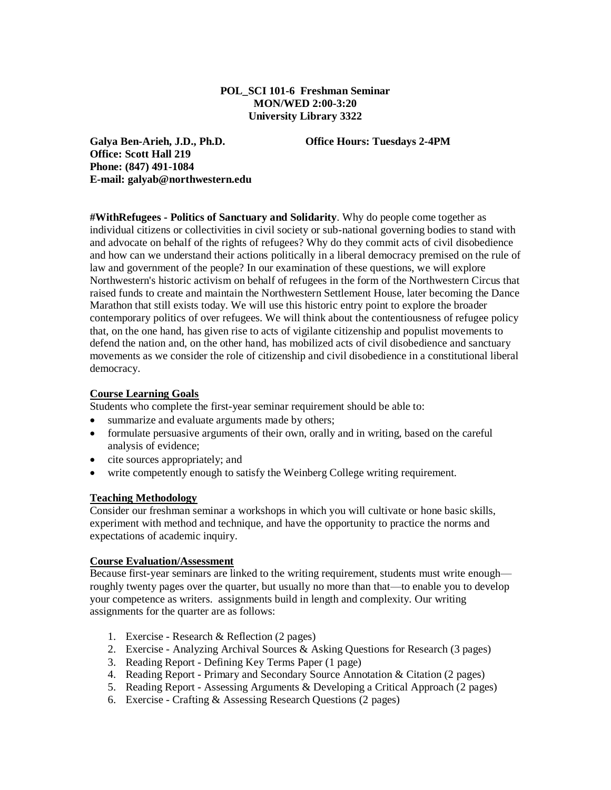## **POL\_SCI 101-6 Freshman Seminar MON/WED 2:00-3:20 University Library 3322**

**Galya Ben-Arieh, J.D., Ph.D. Office Hours: Tuesdays 2-4PM Office: Scott Hall 219 Phone: (847) 491-1084 E-mail: galyab@northwestern.edu**

**#WithRefugees - Politics of Sanctuary and Solidarity**. Why do people come together as individual citizens or collectivities in civil society or sub-national governing bodies to stand with and advocate on behalf of the rights of refugees? Why do they commit acts of civil disobedience and how can we understand their actions politically in a liberal democracy premised on the rule of law and government of the people? In our examination of these questions, we will explore Northwestern's historic activism on behalf of refugees in the form of the Northwestern Circus that raised funds to create and maintain the Northwestern Settlement House, later becoming the Dance Marathon that still exists today. We will use this historic entry point to explore the broader contemporary politics of over refugees. We will think about the contentiousness of refugee policy that, on the one hand, has given rise to acts of vigilante citizenship and populist movements to defend the nation and, on the other hand, has mobilized acts of civil disobedience and sanctuary movements as we consider the role of citizenship and civil disobedience in a constitutional liberal democracy.

## **Course Learning Goals**

Students who complete the first-year seminar requirement should be able to:

- summarize and evaluate arguments made by others;
- formulate persuasive arguments of their own, orally and in writing, based on the careful analysis of evidence;
- cite sources appropriately; and
- write competently enough to satisfy the Weinberg College writing requirement.

#### **Teaching Methodology**

Consider our freshman seminar a workshops in which you will cultivate or hone basic skills, experiment with method and technique, and have the opportunity to practice the norms and expectations of academic inquiry.

## **Course Evaluation/Assessment**

Because first-year seminars are linked to the writing requirement, students must write enough roughly twenty pages over the quarter, but usually no more than that—to enable you to develop your competence as writers. assignments build in length and complexity. Our writing assignments for the quarter are as follows:

- 1. Exercise Research & Reflection (2 pages)
- 2. Exercise Analyzing Archival Sources & Asking Questions for Research (3 pages)
- 3. Reading Report Defining Key Terms Paper (1 page)
- 4. Reading Report Primary and Secondary Source Annotation & Citation (2 pages)
- 5. Reading Report Assessing Arguments & Developing a Critical Approach (2 pages)
- 6. Exercise Crafting & Assessing Research Questions (2 pages)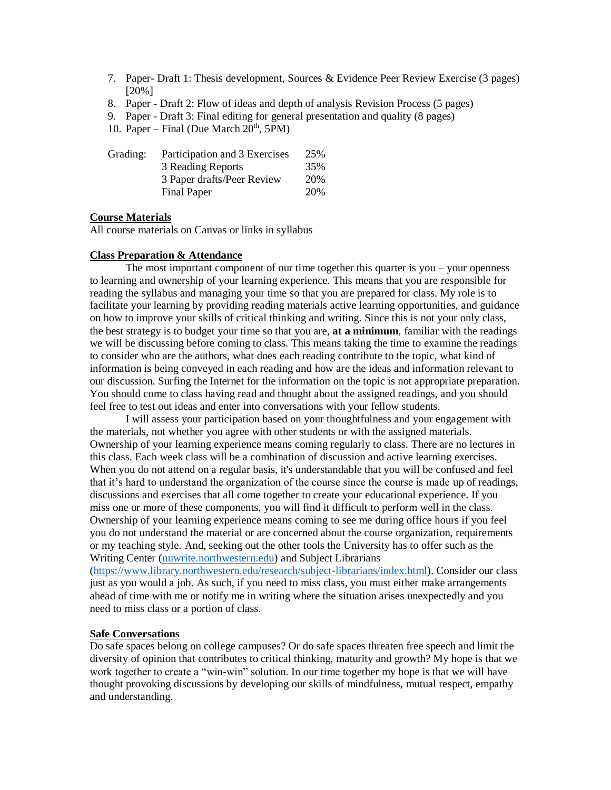- 7. Paper- Draft 1: Thesis development, Sources & Evidence Peer Review Exercise (3 pages) [20%]
- 8. Paper Draft 2: Flow of ideas and depth of analysis Revision Process (5 pages)
- 9. Paper Draft 3: Final editing for general presentation and quality (8 pages)
- 10. Paper Final (Due March  $20<sup>th</sup>$ , 5PM)

| Grading: | Participation and 3 Exercises | 25% |
|----------|-------------------------------|-----|
|          | 3 Reading Reports             | 35% |
|          | 3 Paper drafts/Peer Review    | 20% |
|          | Final Paper                   | 20% |

### **Course Materials**

All course materials on Canvas or links in syllabus

#### **Class Preparation & Attendance**

The most important component of our time together this quarter is you – your openness to learning and ownership of your learning experience. This means that you are responsible for reading the syllabus and managing your time so that you are prepared for class. My role is to facilitate your learning by providing reading materials active learning opportunities, and guidance on how to improve your skills of critical thinking and writing. Since this is not your only class, the best strategy is to budget your time so that you are, **at a minimum**, familiar with the readings we will be discussing before coming to class. This means taking the time to examine the readings to consider who are the authors, what does each reading contribute to the topic, what kind of information is being conveyed in each reading and how are the ideas and information relevant to our discussion. Surfing the Internet for the information on the topic is not appropriate preparation. You should come to class having read and thought about the assigned readings, and you should feel free to test out ideas and enter into conversations with your fellow students.

I will assess your participation based on your thoughtfulness and your engagement with the materials, not whether you agree with other students or with the assigned materials. Ownership of your learning experience means coming regularly to class. There are no lectures in this class. Each week class will be a combination of discussion and active learning exercises. When you do not attend on a regular basis, it's understandable that you will be confused and feel that it's hard to understand the organization of the course since the course is made up of readings, discussions and exercises that all come together to create your educational experience. If you miss one or more of these components, you will find it difficult to perform well in the class. Ownership of your learning experience means coming to see me during office hours if you feel you do not understand the material or are concerned about the course organization, requirements or my teaching style. And, seeking out the other tools the University has to offer such as the Writing Center [\(nuwrite.northwestern.edu\)](http://nuwrite.northwestern.edu/) and Subject Librarians

[\(https://www.library.northwestern.edu/research/subject-librarians/index.html\)](https://www.library.northwestern.edu/research/subject-librarians/index.html). Consider our class just as you would a job. As such, if you need to miss class, you must either make arrangements ahead of time with me or notify me in writing where the situation arises unexpectedly and you need to miss class or a portion of class.

#### **Safe Conversations**

Do safe spaces belong on college campuses? Or do safe spaces threaten free speech and limit the diversity of opinion that contributes to critical thinking, maturity and growth? My hope is that we work together to create a "win-win" solution. In our time together my hope is that we will have thought provoking discussions by developing our skills of mindfulness, mutual respect, empathy and understanding.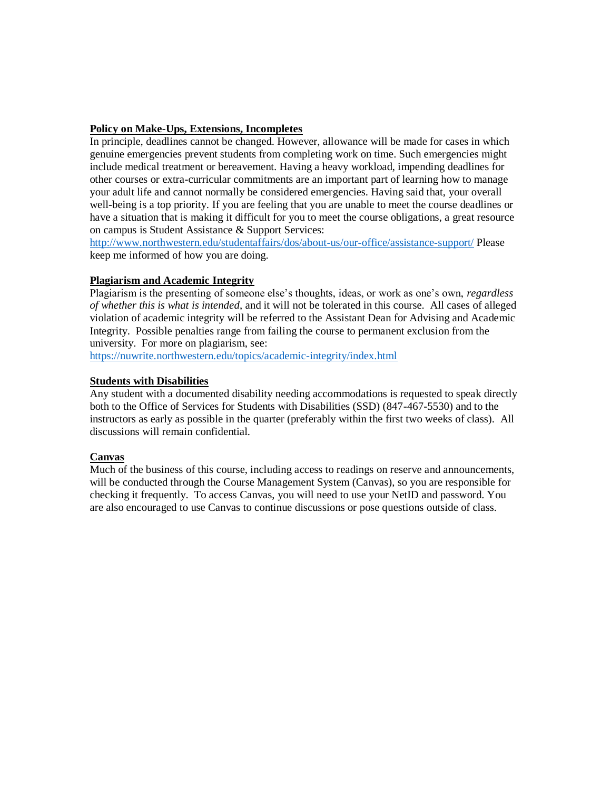# **Policy on Make-Ups, Extensions, Incompletes**

In principle, deadlines cannot be changed. However, allowance will be made for cases in which genuine emergencies prevent students from completing work on time. Such emergencies might include medical treatment or bereavement. Having a heavy workload, impending deadlines for other courses or extra-curricular commitments are an important part of learning how to manage your adult life and cannot normally be considered emergencies. Having said that, your overall well-being is a top priority. If you are feeling that you are unable to meet the course deadlines or have a situation that is making it difficult for you to meet the course obligations, a great resource on campus is Student Assistance & Support Services:

<http://www.northwestern.edu/studentaffairs/dos/about-us/our-office/assistance-support/> Please keep me informed of how you are doing.

## **Plagiarism and Academic Integrity**

Plagiarism is the presenting of someone else's thoughts, ideas, or work as one's own, *regardless of whether this is what is intended*, and it will not be tolerated in this course. All cases of alleged violation of academic integrity will be referred to the Assistant Dean for Advising and Academic Integrity. Possible penalties range from failing the course to permanent exclusion from the university. For more on plagiarism, see:

<https://nuwrite.northwestern.edu/topics/academic-integrity/index.html>

#### **Students with Disabilities**

Any student with a documented disability needing accommodations is requested to speak directly both to the Office of Services for Students with Disabilities (SSD) (847-467-5530) and to the instructors as early as possible in the quarter (preferably within the first two weeks of class). All discussions will remain confidential.

#### **Canvas**

Much of the business of this course, including access to readings on reserve and announcements, will be conducted through the Course Management System (Canvas), so you are responsible for checking it frequently. To access Canvas, you will need to use your NetID and password. You are also encouraged to use Canvas to continue discussions or pose questions outside of class.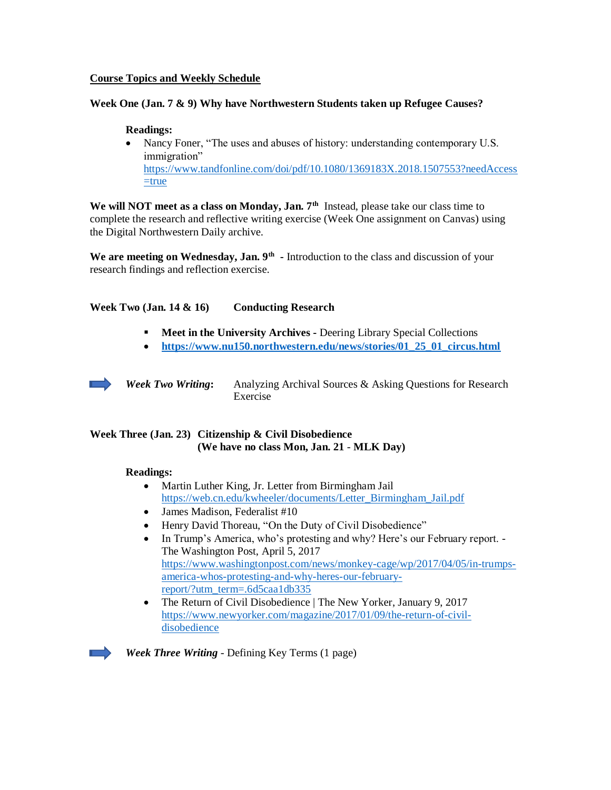## **Course Topics and Weekly Schedule**

#### **Week One (Jan. 7 & 9) Why have Northwestern Students taken up Refugee Causes?**

#### **Readings:**

• Nancy Foner, "The uses and abuses of history: understanding contemporary U.S. immigration" [https://www.tandfonline.com/doi/pdf/10.1080/1369183X.2018.1507553?needAccess](https://www.tandfonline.com/doi/pdf/10.1080/1369183X.2018.1507553?needAccess=true)  $=$ true

We will NOT meet as a class on Monday, Jan. 7<sup>th</sup> Instead, please take our class time to complete the research and reflective writing exercise (Week One assignment on Canvas) using the Digital Northwestern Daily archive.

We are meeting on Wednesday, Jan. 9<sup>th</sup> - Introduction to the class and discussion of your research findings and reflection exercise.

## **Week Two (Jan. 14 & 16) Conducting Research**

- **Meet in the University Archives -** Deering Library Special Collections
- **[https://www.nu150.northwestern.edu/news/stories/01\\_25\\_01\\_circus.html](https://www.nu150.northwestern.edu/news/stories/01_25_01_circus.html)**

*Week Two Writing***:** Analyzing Archival Sources & Asking Questions for Research Exercise

# **Week Three (Jan. 23) Citizenship & Civil Disobedience (We have no class Mon, Jan. 21** - **MLK Day)**

#### **Readings:**

- Martin Luther King, Jr. Letter from Birmingham Jail [https://web.cn.edu/kwheeler/documents/Letter\\_Birmingham\\_Jail.pdf](https://web.cn.edu/kwheeler/documents/Letter_Birmingham_Jail.pdf)
- James Madison, Federalist #10
- Henry David Thoreau, "On the Duty of Civil Disobedience"
- In Trump's America, who's protesting and why? Here's our February report. -The Washington Post, April 5, 2017 [https://www.washingtonpost.com/news/monkey-cage/wp/2017/04/05/in-trumps](https://www.washingtonpost.com/news/monkey-cage/wp/2017/04/05/in-trumps-america-whos-protesting-and-why-heres-our-february-report/?utm_term=.6d5caa1db335)[america-whos-protesting-and-why-heres-our-february](https://www.washingtonpost.com/news/monkey-cage/wp/2017/04/05/in-trumps-america-whos-protesting-and-why-heres-our-february-report/?utm_term=.6d5caa1db335)[report/?utm\\_term=.6d5caa1db335](https://www.washingtonpost.com/news/monkey-cage/wp/2017/04/05/in-trumps-america-whos-protesting-and-why-heres-our-february-report/?utm_term=.6d5caa1db335)
- The Return of Civil Disobedience | The New Yorker, January 9, 2017 [https://www.newyorker.com/magazine/2017/01/09/the-return-of-civil](https://www.newyorker.com/magazine/2017/01/09/the-return-of-civil-disobedience)[disobedience](https://www.newyorker.com/magazine/2017/01/09/the-return-of-civil-disobedience)



*Week Three Writing* - Defining Key Terms (1 page)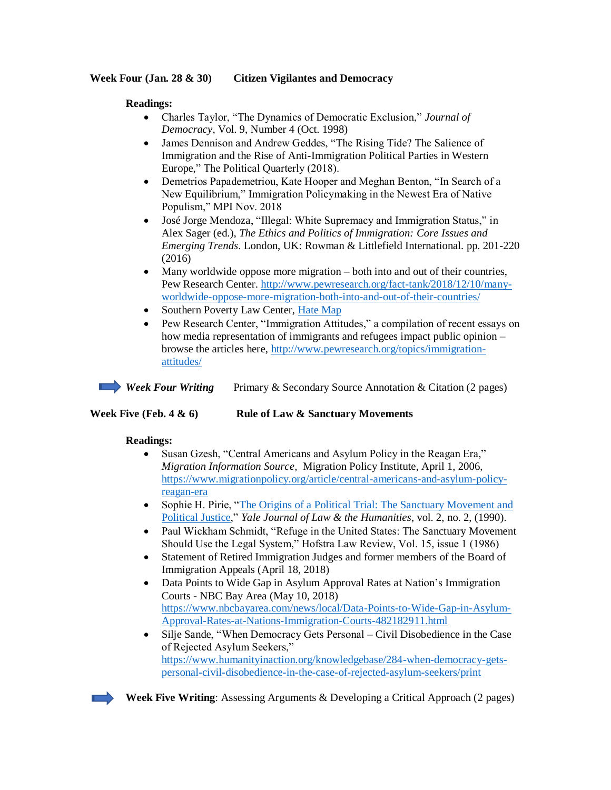## **Week Four (Jan. 28 & 30) Citizen Vigilantes and Democracy**

# **Readings:**

- Charles Taylor, "The Dynamics of Democratic Exclusion," *Journal of Democracy*, Vol. 9, Number 4 (Oct. 1998)
- James Dennison and Andrew Geddes, "The Rising Tide? The Salience of Immigration and the Rise of Anti-Immigration Political Parties in Western Europe," The Political Quarterly (2018).
- Demetrios Papademetriou, Kate Hooper and Meghan Benton, "In Search of a New Equilibrium," Immigration Policymaking in the Newest Era of Native Populism," MPI Nov. 2018
- [José Jorge Mendoza,](https://philpeople.org/profiles/jose-jorge-mendoza) "Illegal: White Supremacy and Immigration Status," in Alex Sager (ed.), *The Ethics and Politics of Immigration: Core Issues and Emerging Trends*. London, UK: Rowman & Littlefield International. pp. 201-220 (2016)
- Many worldwide oppose more migration both into and out of their countries, Pew Research Center. [http://www.pewresearch.org/fact-tank/2018/12/10/many](http://www.pewresearch.org/fact-tank/2018/12/10/many-worldwide-oppose-more-migration-both-into-and-out-of-their-countries/)[worldwide-oppose-more-migration-both-into-and-out-of-their-countries/](http://www.pewresearch.org/fact-tank/2018/12/10/many-worldwide-oppose-more-migration-both-into-and-out-of-their-countries/)
- Southern Poverty Law Center, [Hate Map](https://www.splcenter.org/hate-map)
- Pew Research Center, "Immigration Attitudes," a compilation of recent essays on how media representation of immigrants and refugees impact public opinion – browse the articles here, [http://www.pewresearch.org/topics/immigration](http://www.pewresearch.org/topics/immigration-attitudes/)[attitudes/](http://www.pewresearch.org/topics/immigration-attitudes/)

*Week Four Writing* Primary & Secondary Source Annotation & Citation (2 pages)

## **Week Five (Feb. 4 & 6) Rule of Law & Sanctuary Movements**

## **Readings:**

- Susan Gzesh, "Central Americans and Asylum Policy in the Reagan Era," *Migration Information Source,* Migration Policy Institute, April 1, 2006, [https://www.migrationpolicy.org/article/central-americans-and-asylum-policy](https://www.migrationpolicy.org/article/central-americans-and-asylum-policy-reagan-era)[reagan-era](https://www.migrationpolicy.org/article/central-americans-and-asylum-policy-reagan-era)
- Sophie H. Pirie, "The Origins of a Political Trial: The Sanctuary Movement and [Political Justice,"](http://digitalcommons.law.yale.edu/cgi/viewcontent.cgi?article=1040&context=yjlh) *Yale Journal of Law & the Humanities*, vol. 2, no. 2, (1990).
- Paul Wickham Schmidt, "Refuge in the United States: The Sanctuary Movement Should Use the Legal System," Hofstra Law Review, Vol. 15, issue 1 (1986)
- Statement of Retired Immigration Judges and former members of the Board of Immigration Appeals (April 18, 2018)
- Data Points to Wide Gap in Asylum Approval Rates at Nation's Immigration Courts - NBC Bay Area (May 10, 2018) [https://www.nbcbayarea.com/news/local/Data-Points-to-Wide-Gap-in-Asylum-](https://www.nbcbayarea.com/news/local/Data-Points-to-Wide-Gap-in-Asylum-Approval-Rates-at-Nations-Immigration-Courts-482182911.html)[Approval-Rates-at-Nations-Immigration-Courts-482182911.html](https://www.nbcbayarea.com/news/local/Data-Points-to-Wide-Gap-in-Asylum-Approval-Rates-at-Nations-Immigration-Courts-482182911.html)
- Silje Sande, "When Democracy Gets Personal Civil Disobedience in the Case of Rejected Asylum Seekers," [https://www.humanityinaction.org/knowledgebase/284-when-democracy-gets](https://www.humanityinaction.org/knowledgebase/284-when-democracy-gets-personal-civil-disobedience-in-the-case-of-rejected-asylum-seekers/print)[personal-civil-disobedience-in-the-case-of-rejected-asylum-seekers/print](https://www.humanityinaction.org/knowledgebase/284-when-democracy-gets-personal-civil-disobedience-in-the-case-of-rejected-asylum-seekers/print)



**Week Five Writing**: Assessing Arguments & Developing a Critical Approach (2 pages)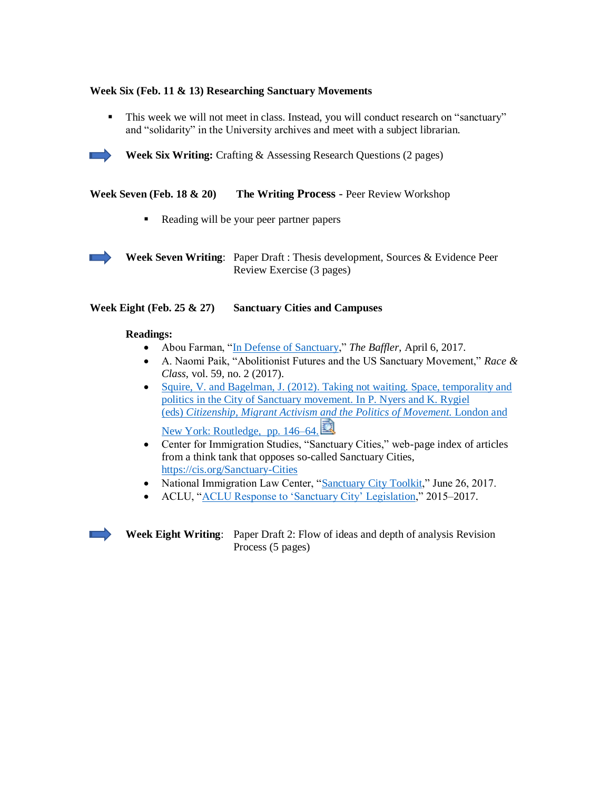# **Week Six (Feb. 11 & 13) Researching Sanctuary Movements**

▪ This week we will not meet in class. Instead, you will conduct research on "sanctuary" and "solidarity" in the University archives and meet with a subject librarian.



**Week Six Writing:** Crafting & Assessing Research Questions (2 pages)

**Week Seven (Feb. 18 & 20) The Writing Process** - Peer Review Workshop

■ Reading will be your peer partner papers



**Week Seven Writing**: Paper Draft : Thesis development, Sources & Evidence Peer Review Exercise (3 pages)

### **Week Eight (Feb. 25 & 27) Sanctuary Cities and Campuses**

#### **Readings:**

- Abou Farman, ["In Defense of Sanctuary,](https://thebaffler.com/latest/in-defense-of-sanctuary-farman)" *The Baffler*, April 6, 2017.
- A. Naomi Paik, "Abolitionist Futures and the US Sanctuary Movement," *Race & Class*, vol. 59, no. 2 (2017).
- Squire, V. and Bagelman, J. (2012). Taking not waiting. Space, temporality and [politics in the City of Sanctuary movement.](https://canvas.uw.edu/courses/1114024/files/40143770/download?wrap=1) In P. Nyers and K. Rygiel (eds) *[Citizenship, Migrant Activism and the Politics of Movement.](https://canvas.uw.edu/courses/1114024/files/40143770/download?wrap=1)* London and [New York: Routledge, pp. 146–64.](https://canvas.uw.edu/courses/1114024/files/40143770/download?wrap=1)
- Center for Immigration Studies, "Sanctuary Cities," web-page index of articles from a think tank that opposes so-called Sanctuary Cities, <https://cis.org/Sanctuary-Cities>
- National Immigration Law Center, ["Sanctuary City Toolkit,](https://www.nilc.org/issues/immigration-enforcement/sanctuary-city-toolkit/)" June 26, 2017.
- ACLU, ["ACLU Response to 'Sanctuary City' Legislation,](https://www.aclu.org/aclu-response-sanctuary-city-legislation)" 2015–2017.



**Week Eight Writing**: Paper Draft 2: Flow of ideas and depth of analysis Revision Process (5 pages)